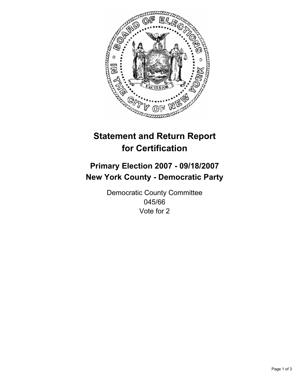

# **Statement and Return Report for Certification**

## **Primary Election 2007 - 09/18/2007 New York County - Democratic Party**

Democratic County Committee 045/66 Vote for 2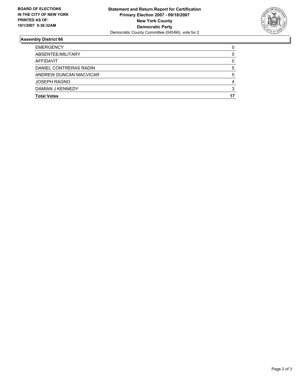

### **Assembly District 66**

| <b>EMERGENCY</b>       |  |
|------------------------|--|
| ABSENTEE/MILITARY      |  |
| AFFIDAVIT              |  |
| DANIEL CONTRERAS RADIN |  |
| ANDREW DUNCAN MACVICAR |  |
| <b>JOSEPH RAGNO</b>    |  |
| DAMIAN J KENNEDY       |  |
| <b>Total Votes</b>     |  |